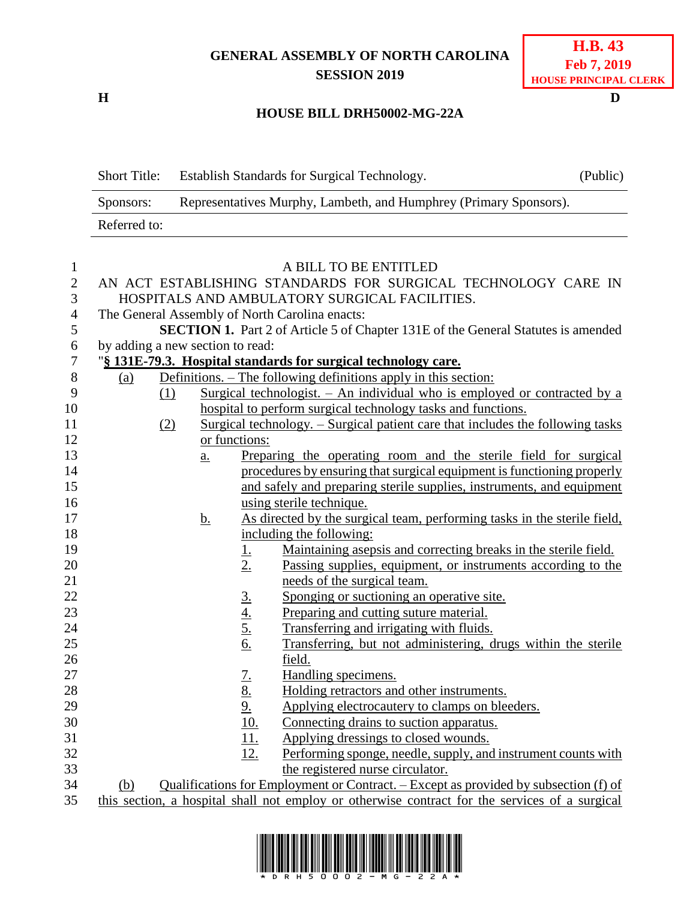## **GENERAL ASSEMBLY OF NORTH CAROLINA SESSION 2019**

**H D**

## **HOUSE BILL DRH50002-MG-22A**

Short Title: Establish Standards for Surgical Technology. (Public) Sponsors: Representatives Murphy, Lambeth, and Humphrey (Primary Sponsors). Referred to:

| $\mathbf{1}$   | A BILL TO BE ENTITLED                                                                 |                                                                                  |           |                                                         |                                                                                                |  |  |  |
|----------------|---------------------------------------------------------------------------------------|----------------------------------------------------------------------------------|-----------|---------------------------------------------------------|------------------------------------------------------------------------------------------------|--|--|--|
| $\overline{2}$ | AN ACT ESTABLISHING STANDARDS FOR SURGICAL TECHNOLOGY CARE IN                         |                                                                                  |           |                                                         |                                                                                                |  |  |  |
| 3              | HOSPITALS AND AMBULATORY SURGICAL FACILITIES.                                         |                                                                                  |           |                                                         |                                                                                                |  |  |  |
| $\overline{4}$ |                                                                                       | The General Assembly of North Carolina enacts:                                   |           |                                                         |                                                                                                |  |  |  |
| 5              |                                                                                       |                                                                                  |           |                                                         | SECTION 1. Part 2 of Article 5 of Chapter 131E of the General Statutes is amended              |  |  |  |
| 6              |                                                                                       | by adding a new section to read:                                                 |           |                                                         |                                                                                                |  |  |  |
| $\overline{7}$ | "§ 131E-79.3. Hospital standards for surgical technology care.                        |                                                                                  |           |                                                         |                                                                                                |  |  |  |
| 8              | <u>(a)</u>                                                                            | Definitions. – The following definitions apply in this section:                  |           |                                                         |                                                                                                |  |  |  |
| 9              |                                                                                       | Surgical technologist. - An individual who is employed or contracted by a<br>(1) |           |                                                         |                                                                                                |  |  |  |
| 10             | hospital to perform surgical technology tasks and functions.                          |                                                                                  |           |                                                         |                                                                                                |  |  |  |
| 11             | Surgical technology. – Surgical patient care that includes the following tasks<br>(2) |                                                                                  |           |                                                         |                                                                                                |  |  |  |
| 12             | or functions:                                                                         |                                                                                  |           |                                                         |                                                                                                |  |  |  |
| 13             |                                                                                       |                                                                                  | a.        |                                                         | Preparing the operating room and the sterile field for surgical                                |  |  |  |
| 14             |                                                                                       |                                                                                  |           |                                                         | procedures by ensuring that surgical equipment is functioning properly                         |  |  |  |
| 15             |                                                                                       |                                                                                  |           |                                                         | and safely and preparing sterile supplies, instruments, and equipment                          |  |  |  |
| 16             |                                                                                       |                                                                                  |           |                                                         | using sterile technique.                                                                       |  |  |  |
| 17             |                                                                                       |                                                                                  | <u>b.</u> |                                                         | As directed by the surgical team, performing tasks in the sterile field,                       |  |  |  |
| 18             |                                                                                       |                                                                                  |           |                                                         | including the following:                                                                       |  |  |  |
| 19             |                                                                                       |                                                                                  |           | <u>1.</u>                                               | Maintaining asepsis and correcting breaks in the sterile field.                                |  |  |  |
| 20             |                                                                                       |                                                                                  |           | 2.                                                      | Passing supplies, equipment, or instruments according to the                                   |  |  |  |
| 21             |                                                                                       |                                                                                  |           |                                                         | needs of the surgical team.                                                                    |  |  |  |
| 22             |                                                                                       |                                                                                  |           |                                                         | Sponging or suctioning an operative site.                                                      |  |  |  |
| 23             |                                                                                       |                                                                                  |           |                                                         | Preparing and cutting suture material.                                                         |  |  |  |
| 24             |                                                                                       |                                                                                  |           | $rac{3}{4}$<br>$rac{4}{5}$<br>$rac{5}{6}$               | Transferring and irrigating with fluids.                                                       |  |  |  |
| 25             |                                                                                       |                                                                                  |           |                                                         | Transferring, but not administering, drugs within the sterile                                  |  |  |  |
| 26             |                                                                                       |                                                                                  |           |                                                         | field.                                                                                         |  |  |  |
| 27             |                                                                                       |                                                                                  |           |                                                         | Handling specimens.                                                                            |  |  |  |
| 28             |                                                                                       |                                                                                  |           |                                                         | Holding retractors and other instruments.                                                      |  |  |  |
| 29             |                                                                                       |                                                                                  |           |                                                         | Applying electrocautery to clamps on bleeders.                                                 |  |  |  |
| 30             |                                                                                       |                                                                                  |           | $\frac{7.}{8.}$<br>$\frac{8.}{9.}$<br>$\frac{10.}{10.}$ | Connecting drains to suction apparatus.                                                        |  |  |  |
| 31             |                                                                                       |                                                                                  |           | $\overline{11}$ .                                       | Applying dressings to closed wounds.                                                           |  |  |  |
| 32             |                                                                                       |                                                                                  |           | 12.                                                     | Performing sponge, needle, supply, and instrument counts with                                  |  |  |  |
| 33             |                                                                                       |                                                                                  |           |                                                         | the registered nurse circulator.                                                               |  |  |  |
| 34             | (b)                                                                                   |                                                                                  |           |                                                         | Qualifications for Employment or Contract. - Except as provided by subsection (f) of           |  |  |  |
| 35             |                                                                                       |                                                                                  |           |                                                         | this section, a hospital shall not employ or otherwise contract for the services of a surgical |  |  |  |

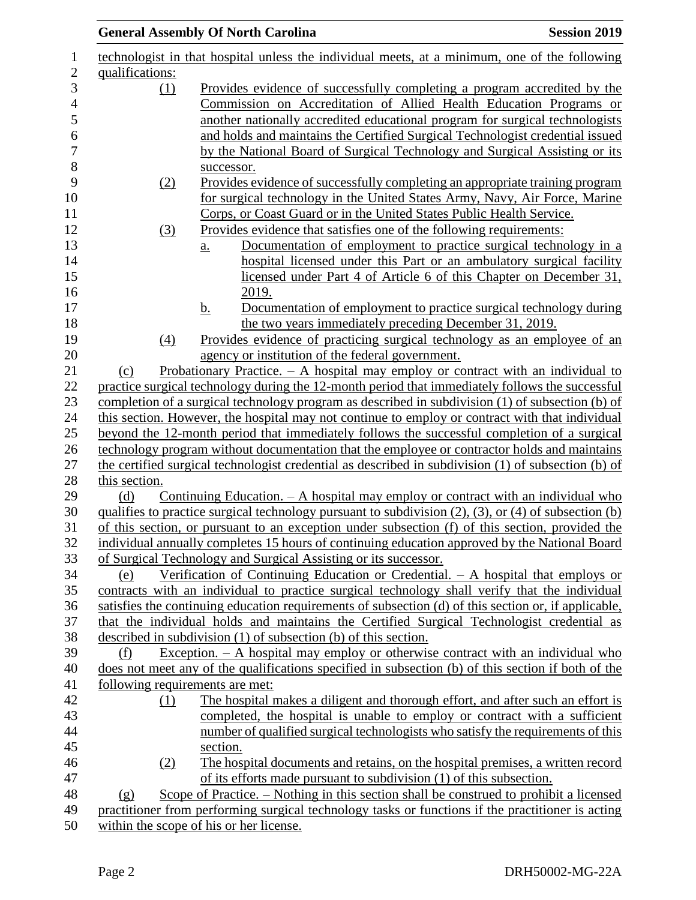|                 | <b>General Assembly Of North Carolina</b>                                                                                                                                                           | <b>Session 2019</b> |
|-----------------|-----------------------------------------------------------------------------------------------------------------------------------------------------------------------------------------------------|---------------------|
|                 | technologist in that hospital unless the individual meets, at a minimum, one of the following                                                                                                       |                     |
| qualifications: |                                                                                                                                                                                                     |                     |
| (1)             | Provides evidence of successfully completing a program accredited by the                                                                                                                            |                     |
|                 | Commission on Accreditation of Allied Health Education Programs or                                                                                                                                  |                     |
|                 | another nationally accredited educational program for surgical technologists                                                                                                                        |                     |
|                 | and holds and maintains the Certified Surgical Technologist credential issued                                                                                                                       |                     |
|                 | by the National Board of Surgical Technology and Surgical Assisting or its                                                                                                                          |                     |
|                 | successor.                                                                                                                                                                                          |                     |
| (2)             | Provides evidence of successfully completing an appropriate training program                                                                                                                        |                     |
|                 | for surgical technology in the United States Army, Navy, Air Force, Marine                                                                                                                          |                     |
|                 | Corps, or Coast Guard or in the United States Public Health Service.                                                                                                                                |                     |
| (3)             | Provides evidence that satisfies one of the following requirements:                                                                                                                                 |                     |
|                 | Documentation of employment to practice surgical technology in a<br>a.                                                                                                                              |                     |
|                 | hospital licensed under this Part or an ambulatory surgical facility                                                                                                                                |                     |
|                 | licensed under Part 4 of Article 6 of this Chapter on December 31,                                                                                                                                  |                     |
|                 | 2019.                                                                                                                                                                                               |                     |
|                 | Documentation of employment to practice surgical technology during<br><u>b.</u>                                                                                                                     |                     |
|                 | the two years immediately preceding December 31, 2019.                                                                                                                                              |                     |
| (4)             | Provides evidence of practicing surgical technology as an employee of an                                                                                                                            |                     |
|                 | agency or institution of the federal government.                                                                                                                                                    |                     |
| (c)             | Probationary Practice. $-$ A hospital may employ or contract with an individual to                                                                                                                  |                     |
|                 | practice surgical technology during the 12-month period that immediately follows the successful                                                                                                     |                     |
|                 | completion of a surgical technology program as described in subdivision (1) of subsection (b) of                                                                                                    |                     |
|                 | this section. However, the hospital may not continue to employ or contract with that individual                                                                                                     |                     |
|                 | beyond the 12-month period that immediately follows the successful completion of a surgical                                                                                                         |                     |
|                 | technology program without documentation that the employee or contractor holds and maintains<br>the certified surgical technologist credential as described in subdivision (1) of subsection (b) of |                     |
| this section.   |                                                                                                                                                                                                     |                     |
| (d)             | Continuing Education. $- A$ hospital may employ or contract with an individual who                                                                                                                  |                     |
|                 | qualifies to practice surgical technology pursuant to subdivision (2), (3), or (4) of subsection (b)                                                                                                |                     |
|                 | of this section, or pursuant to an exception under subsection (f) of this section, provided the                                                                                                     |                     |
|                 | individual annually completes 15 hours of continuing education approved by the National Board                                                                                                       |                     |
|                 | of Surgical Technology and Surgical Assisting or its successor.                                                                                                                                     |                     |
| (e)             | Verification of Continuing Education or Credential. $- A$ hospital that employs or                                                                                                                  |                     |
|                 | contracts with an individual to practice surgical technology shall verify that the individual                                                                                                       |                     |
|                 | satisfies the continuing education requirements of subsection (d) of this section or, if applicable,                                                                                                |                     |
|                 | that the individual holds and maintains the Certified Surgical Technologist credential as                                                                                                           |                     |
|                 | described in subdivision $(1)$ of subsection $(b)$ of this section.                                                                                                                                 |                     |
| (f)             | Exception. $-$ A hospital may employ or otherwise contract with an individual who                                                                                                                   |                     |
|                 | does not meet any of the qualifications specified in subsection (b) of this section if both of the                                                                                                  |                     |
|                 | following requirements are met:                                                                                                                                                                     |                     |
| (1)             | The hospital makes a diligent and thorough effort, and after such an effort is                                                                                                                      |                     |
|                 | completed, the hospital is unable to employ or contract with a sufficient                                                                                                                           |                     |
|                 | number of qualified surgical technologists who satisfy the requirements of this                                                                                                                     |                     |
|                 | section.                                                                                                                                                                                            |                     |
| (2)             | The hospital documents and retains, on the hospital premises, a written record                                                                                                                      |                     |
|                 | of its efforts made pursuant to subdivision (1) of this subsection.                                                                                                                                 |                     |
| (g)             | Scope of Practice. – Nothing in this section shall be construed to prohibit a licensed                                                                                                              |                     |
|                 | practitioner from performing surgical technology tasks or functions if the practitioner is acting                                                                                                   |                     |
|                 | within the scope of his or her license.                                                                                                                                                             |                     |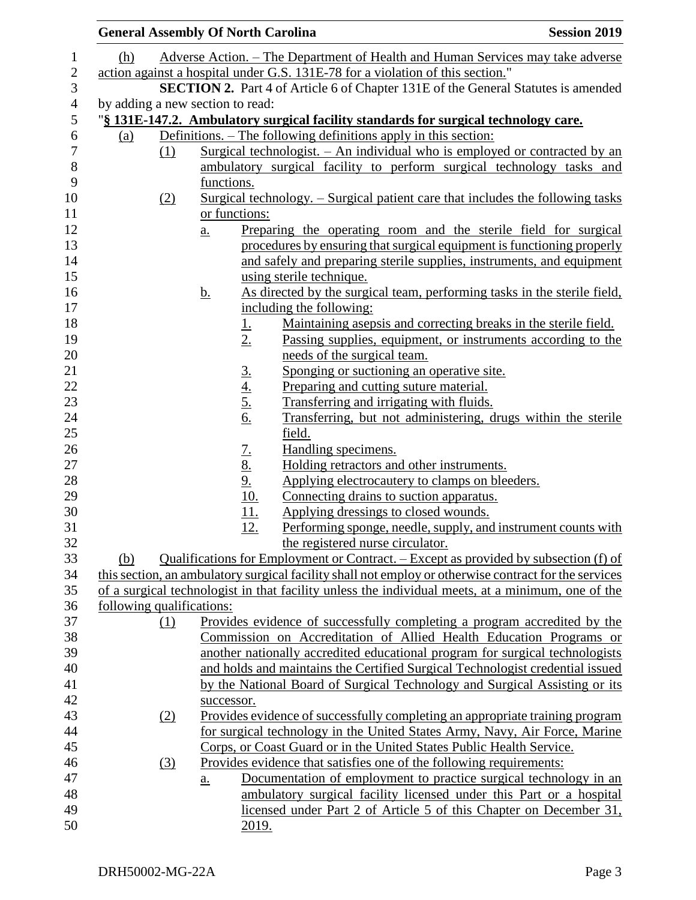|     |                                                                                                   | <b>General Assembly Of North Carolina</b>                                                             |                                                                                       | <b>Session 2019</b> |  |  |  |
|-----|---------------------------------------------------------------------------------------------------|-------------------------------------------------------------------------------------------------------|---------------------------------------------------------------------------------------|---------------------|--|--|--|
| (h) |                                                                                                   |                                                                                                       | Adverse Action. – The Department of Health and Human Services may take adverse        |                     |  |  |  |
|     |                                                                                                   |                                                                                                       | action against a hospital under G.S. 131E-78 for a violation of this section."        |                     |  |  |  |
|     |                                                                                                   |                                                                                                       | SECTION 2. Part 4 of Article 6 of Chapter 131E of the General Statutes is amended     |                     |  |  |  |
|     |                                                                                                   | by adding a new section to read:                                                                      |                                                                                       |                     |  |  |  |
|     |                                                                                                   |                                                                                                       | "§ 131E-147.2. Ambulatory surgical facility standards for surgical technology care.   |                     |  |  |  |
| (a) |                                                                                                   |                                                                                                       | Definitions. – The following definitions apply in this section:                       |                     |  |  |  |
|     | (1)                                                                                               |                                                                                                       | Surgical technologist. - An individual who is employed or contracted by an            |                     |  |  |  |
|     |                                                                                                   |                                                                                                       | ambulatory surgical facility to perform surgical technology tasks and                 |                     |  |  |  |
|     |                                                                                                   | functions.                                                                                            |                                                                                       |                     |  |  |  |
|     | (2)                                                                                               |                                                                                                       | <u>Surgical technology. – Surgical patient care that includes the following tasks</u> |                     |  |  |  |
|     |                                                                                                   | or functions:                                                                                         |                                                                                       |                     |  |  |  |
|     |                                                                                                   | a.                                                                                                    | Preparing the operating room and the sterile field for surgical                       |                     |  |  |  |
|     |                                                                                                   |                                                                                                       | procedures by ensuring that surgical equipment is functioning properly                |                     |  |  |  |
|     |                                                                                                   |                                                                                                       | and safely and preparing sterile supplies, instruments, and equipment                 |                     |  |  |  |
|     |                                                                                                   |                                                                                                       | using sterile technique.                                                              |                     |  |  |  |
|     |                                                                                                   | <u>b.</u>                                                                                             | As directed by the surgical team, performing tasks in the sterile field,              |                     |  |  |  |
|     |                                                                                                   |                                                                                                       | including the following:                                                              |                     |  |  |  |
|     |                                                                                                   | <u>1.</u>                                                                                             | Maintaining asepsis and correcting breaks in the sterile field.                       |                     |  |  |  |
|     |                                                                                                   | 2.                                                                                                    | Passing supplies, equipment, or instruments according to the                          |                     |  |  |  |
|     |                                                                                                   |                                                                                                       | needs of the surgical team.                                                           |                     |  |  |  |
|     |                                                                                                   | $rac{3.4}{4.5.6}$                                                                                     | Sponging or suctioning an operative site.                                             |                     |  |  |  |
|     |                                                                                                   |                                                                                                       | Preparing and cutting suture material.                                                |                     |  |  |  |
|     |                                                                                                   |                                                                                                       | Transferring and irrigating with fluids.                                              |                     |  |  |  |
|     |                                                                                                   |                                                                                                       | Transferring, but not administering, drugs within the sterile                         |                     |  |  |  |
|     |                                                                                                   |                                                                                                       | field.                                                                                |                     |  |  |  |
|     |                                                                                                   | $\frac{7.}{8.}$<br>$\frac{8.}{9.}$<br>$\frac{10.}{10.}$                                               | Handling specimens.<br>Holding retractors and other instruments.                      |                     |  |  |  |
|     |                                                                                                   |                                                                                                       | Applying electrocautery to clamps on bleeders.                                        |                     |  |  |  |
|     |                                                                                                   |                                                                                                       | Connecting drains to suction apparatus.                                               |                     |  |  |  |
|     |                                                                                                   | 11.                                                                                                   | Applying dressings to closed wounds.                                                  |                     |  |  |  |
|     |                                                                                                   | <u>12.</u>                                                                                            | Performing sponge, needle, supply, and instrument counts with                         |                     |  |  |  |
|     |                                                                                                   |                                                                                                       | the registered nurse circulator.                                                      |                     |  |  |  |
| (b) |                                                                                                   |                                                                                                       | Qualifications for Employment or Contract. – Except as provided by subsection (f) of  |                     |  |  |  |
|     |                                                                                                   | this section, an ambulatory surgical facility shall not employ or otherwise contract for the services |                                                                                       |                     |  |  |  |
|     | of a surgical technologist in that facility unless the individual meets, at a minimum, one of the |                                                                                                       |                                                                                       |                     |  |  |  |
|     |                                                                                                   | following qualifications:                                                                             |                                                                                       |                     |  |  |  |
|     | (1)                                                                                               |                                                                                                       | Provides evidence of successfully completing a program accredited by the              |                     |  |  |  |
|     |                                                                                                   |                                                                                                       | Commission on Accreditation of Allied Health Education Programs or                    |                     |  |  |  |
|     |                                                                                                   |                                                                                                       | another nationally accredited educational program for surgical technologists          |                     |  |  |  |
|     |                                                                                                   | and holds and maintains the Certified Surgical Technologist credential issued                         |                                                                                       |                     |  |  |  |
|     |                                                                                                   |                                                                                                       | by the National Board of Surgical Technology and Surgical Assisting or its            |                     |  |  |  |
|     |                                                                                                   | successor.                                                                                            |                                                                                       |                     |  |  |  |
|     | (2)                                                                                               | Provides evidence of successfully completing an appropriate training program                          |                                                                                       |                     |  |  |  |
|     |                                                                                                   |                                                                                                       | for surgical technology in the United States Army, Navy, Air Force, Marine            |                     |  |  |  |
|     |                                                                                                   |                                                                                                       | Corps, or Coast Guard or in the United States Public Health Service.                  |                     |  |  |  |
|     | $\left(3\right)$                                                                                  |                                                                                                       | Provides evidence that satisfies one of the following requirements:                   |                     |  |  |  |
|     |                                                                                                   | <u>a.</u>                                                                                             | Documentation of employment to practice surgical technology in an                     |                     |  |  |  |
|     |                                                                                                   |                                                                                                       | ambulatory surgical facility licensed under this Part or a hospital                   |                     |  |  |  |
|     |                                                                                                   |                                                                                                       | licensed under Part 2 of Article 5 of this Chapter on December 31,                    |                     |  |  |  |
|     |                                                                                                   | 2019.                                                                                                 |                                                                                       |                     |  |  |  |